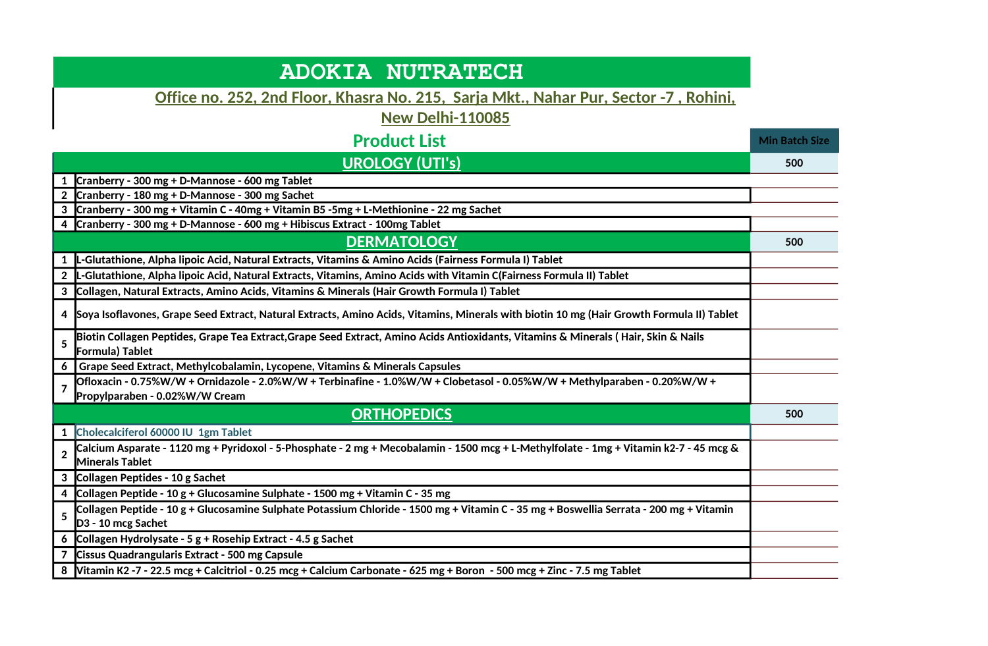| <b>ADOKIA NUTRATECH</b>                                                                                                                                                       |                       |
|-------------------------------------------------------------------------------------------------------------------------------------------------------------------------------|-----------------------|
| Office no. 252, 2nd Floor, Khasra No. 215, Sarja Mkt., Nahar Pur, Sector -7, Rohini,                                                                                          |                       |
| <b>New Delhi-110085</b>                                                                                                                                                       |                       |
| <b>Product List</b>                                                                                                                                                           | <b>Min Batch Size</b> |
| <b>UROLOGY (UTI's)</b>                                                                                                                                                        | 500                   |
| Cranberry - 300 mg + D-Mannose - 600 mg Tablet                                                                                                                                |                       |
| Cranberry - 180 mg + D-Mannose - 300 mg Sachet                                                                                                                                |                       |
| Cranberry - 300 mg + Vitamin C - 40mg + Vitamin B5 -5mg + L-Methionine - 22 mg Sachet<br>3                                                                                    |                       |
| 4 Cranberry - 300 mg + D-Mannose - 600 mg + Hibiscus Extract - 100mg Tablet                                                                                                   |                       |
| <b>DERMATOLOGY</b>                                                                                                                                                            | 500                   |
| L-Glutathione, Alpha lipoic Acid, Natural Extracts, Vitamins & Amino Acids (Fairness Formula I) Tablet<br>$\mathbf{1}$                                                        |                       |
| L-Glutathione, Alpha lipoic Acid, Natural Extracts, Vitamins, Amino Acids with Vitamin C(Fairness Formula II) Tablet<br>$\overline{2}$                                        |                       |
| Collagen, Natural Extracts, Amino Acids, Vitamins & Minerals (Hair Growth Formula I) Tablet<br>3                                                                              |                       |
| Soya Isoflavones, Grape Seed Extract, Natural Extracts, Amino Acids, Vitamins, Minerals with biotin 10 mg (Hair Growth Formula II) Tablet<br>4                                |                       |
| Biotin Collagen Peptides, Grape Tea Extract,Grape Seed Extract, Amino Acids Antioxidants, Vitamins & Minerals (Hair, Skin & Nails<br>5<br>Formula) Tablet                     |                       |
| Grape Seed Extract, Methylcobalamin, Lycopene, Vitamins & Minerals Capsules<br>6                                                                                              |                       |
| Ofloxacin - 0.75%W/W + Ornidazole - 2.0%W/W + Terbinafine - 1.0%W/W + Clobetasol - 0.05%W/W + Methylparaben - 0.20%W/W +<br>$\overline{7}$<br>Propylparaben - 0.02%W/W Cream  |                       |
| <b>ORTHOPEDICS</b>                                                                                                                                                            | 500                   |
| Cholecalciferol 60000 IU 1gm Tablet<br>$\mathbf{1}$                                                                                                                           |                       |
| Calcium Asparate - 1120 mg + Pyridoxol - 5-Phosphate - 2 mg + Mecobalamin - 1500 mcg + L-Methylfolate - 1mg + Vitamin k2-7 - 45 mcg &<br>$\overline{2}$<br>Minerals Tablet    |                       |
| 3 Collagen Peptides - 10 g Sachet                                                                                                                                             |                       |
| Collagen Peptide - 10 g + Glucosamine Sulphate - 1500 mg + Vitamin C - 35 mg<br>4                                                                                             |                       |
| Collagen Peptide - 10 g + Glucosamine Sulphate Potassium Chloride - 1500 mg + Vitamin C - 35 mg + Boswellia Serrata - 200 mg + Vitamin<br>5<br>D <sub>3</sub> - 10 mcg Sachet |                       |
| 6 Collagen Hydrolysate - 5 g + Rosehip Extract - 4.5 g Sachet                                                                                                                 |                       |
| Cissus Quadrangularis Extract - 500 mg Capsule                                                                                                                                |                       |
| 8   Vitamin K2 -7 - 22.5 mcg + Calcitriol - 0.25 mcg + Calcium Carbonate - 625 mg + Boron - 500 mcg + Zinc - 7.5 mg Tablet                                                    |                       |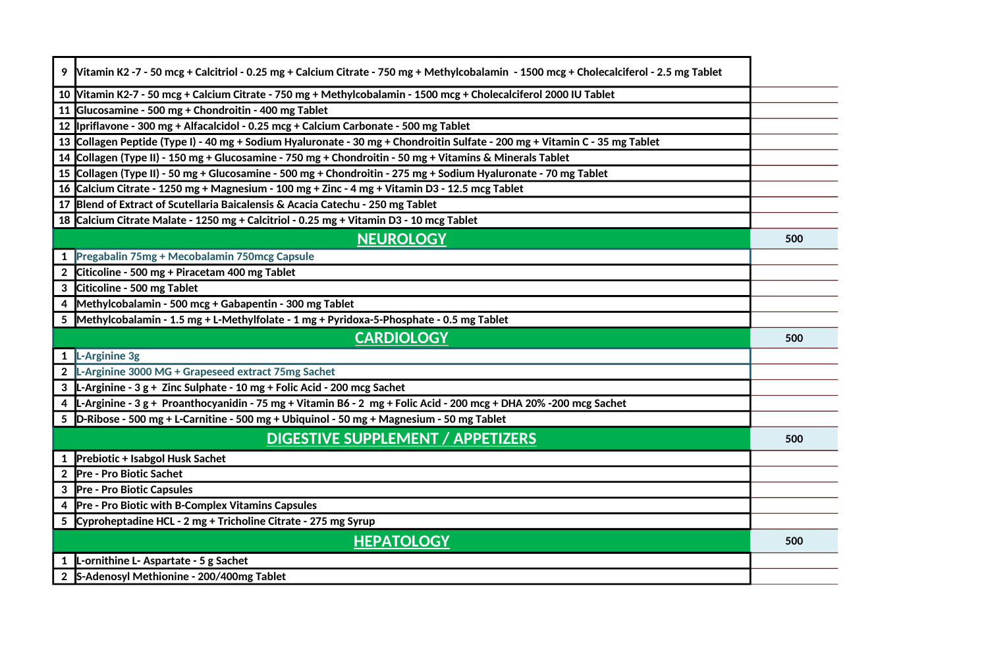| 9   Vitamin K2 -7 - 50 mcg + Calcitriol - 0.25 mg + Calcium Citrate - 750 mg + Methylcobalamin - 1500 mcg + Cholecalciferol - 2.5 mg Tablet |     |
|---------------------------------------------------------------------------------------------------------------------------------------------|-----|
| 10 Vitamin K2-7 - 50 mcg + Calcium Citrate - 750 mg + Methylcobalamin - 1500 mcg + Cholecalciferol 2000 IU Tablet                           |     |
| 11 Glucosamine - 500 mg + Chondroitin - 400 mg Tablet                                                                                       |     |
| 12   Ipriflavone - 300 mg + Alfacalcidol - 0.25 mcg + Calcium Carbonate - 500 mg Tablet                                                     |     |
| 13 Collagen Peptide (Type I) - 40 mg + Sodium Hyaluronate - 30 mg + Chondroitin Sulfate - 200 mg + Vitamin C - 35 mg Tablet                 |     |
| 14 Collagen (Type II) - 150 mg + Glucosamine - 750 mg + Chondroitin - 50 mg + Vitamins & Minerals Tablet                                    |     |
| 15 Collagen (Type II) - 50 mg + Glucosamine - 500 mg + Chondroitin - 275 mg + Sodium Hyaluronate - 70 mg Tablet                             |     |
| 16 Calcium Citrate - 1250 mg + Magnesium - 100 mg + Zinc - 4 mg + Vitamin D3 - 12.5 mcg Tablet                                              |     |
| 17 Blend of Extract of Scutellaria Baicalensis & Acacia Catechu - 250 mg Tablet                                                             |     |
| 18 Calcium Citrate Malate - 1250 mg + Calcitriol - 0.25 mg + Vitamin D3 - 10 mcg Tablet                                                     |     |
| <b>NEUROLOGY</b>                                                                                                                            | 500 |
| 1 Pregabalin 75mg + Mecobalamin 750mcg Capsule                                                                                              |     |
| Citicoline - 500 mg + Piracetam 400 mg Tablet                                                                                               |     |
| Citicoline - 500 mg Tablet                                                                                                                  |     |
| Methylcobalamin - 500 mcg + Gabapentin - 300 mg Tablet                                                                                      |     |
| 5 Methylcobalamin - 1.5 mg + L-Methylfolate - 1 mg + Pyridoxa-5-Phosphate - 0.5 mg Tablet                                                   |     |
| <b>CARDIOLOGY</b>                                                                                                                           | 500 |
| L-Arginine 3g<br>1                                                                                                                          |     |
| L-Arginine 3000 MG + Grapeseed extract 75mg Sachet<br>$\mathbf{2}$                                                                          |     |
| 3  L-Arginine - 3 g + Zinc Sulphate - 10 mg + Folic Acid - 200 mcg Sachet                                                                   |     |
| L-Arginine - 3 g + Proanthocyanidin - 75 mg + Vitamin B6 - 2 mg + Folic Acid - 200 mcg + DHA 20% -200 mcg Sachet                            |     |
| 5 D-Ribose - 500 mg + L-Carnitine - 500 mg + Ubiquinol - 50 mg + Magnesium - 50 mg Tablet                                                   |     |
| <b>DIGESTIVE SUPPLEMENT / APPETIZERS</b>                                                                                                    | 500 |
| 1 Prebiotic + Isabgol Husk Sachet                                                                                                           |     |
|                                                                                                                                             |     |
| Pre - Pro Biotic Sachet<br>$\overline{2}$                                                                                                   |     |
| <b>Pre - Pro Biotic Capsules</b>                                                                                                            |     |
| Pre - Pro Biotic with B-Complex Vitamins Capsules                                                                                           |     |
| 5 Cyproheptadine HCL - 2 mg + Tricholine Citrate - 275 mg Syrup                                                                             |     |
| <b>HEPATOLOGY</b>                                                                                                                           | 500 |
| L-ornithine L- Aspartate - 5 g Sachet<br>S-Adenosyl Methionine - 200/400mg Tablet                                                           |     |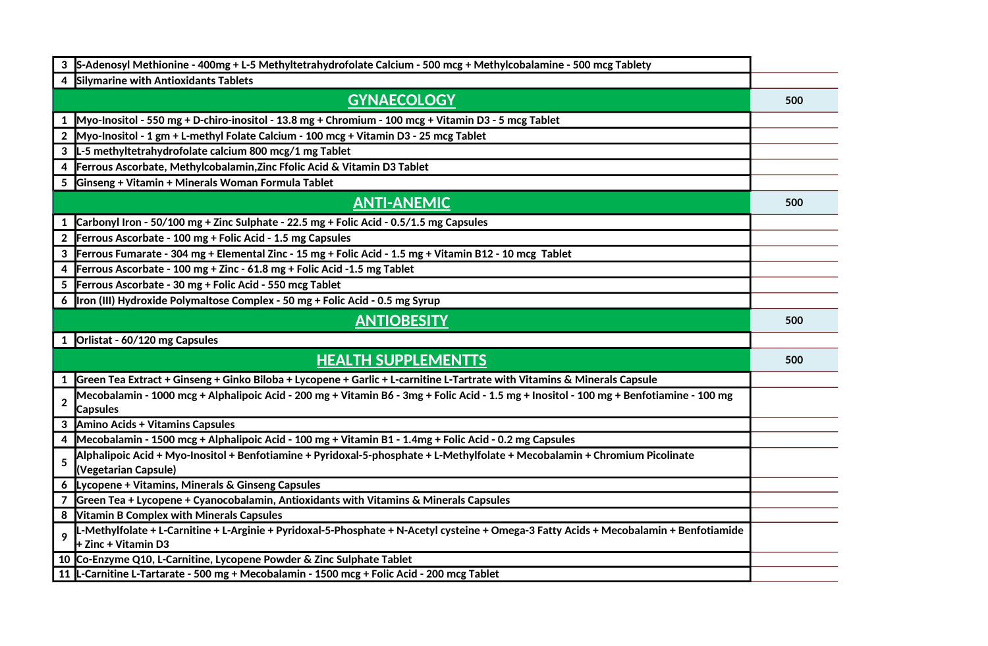| S-Adenosyl Methionine - 400mg + L-5 Methyltetrahydrofolate Calcium - 500 mcg + Methylcobalamine - 500 mcg Tablety<br>3                                                       |     |
|------------------------------------------------------------------------------------------------------------------------------------------------------------------------------|-----|
| Silymarine with Antioxidants Tablets<br>4                                                                                                                                    |     |
| <b>GYNAECOLOGY</b>                                                                                                                                                           | 500 |
| Myo-Inositol - 550 mg + D-chiro-inositol - 13.8 mg + Chromium - 100 mcg + Vitamin D3 - 5 mcg Tablet<br>1                                                                     |     |
| Myo-Inositol - 1 gm + L-methyl Folate Calcium - 100 mcg + Vitamin D3 - 25 mcg Tablet                                                                                         |     |
| L-5 methyltetrahydrofolate calcium 800 mcg/1 mg Tablet<br>3                                                                                                                  |     |
| Ferrous Ascorbate, Methylcobalamin, Zinc Ffolic Acid & Vitamin D3 Tablet<br>4                                                                                                |     |
| Ginseng + Vitamin + Minerals Woman Formula Tablet<br>5                                                                                                                       |     |
| <b>ANTI-ANEMIC</b>                                                                                                                                                           | 500 |
| Carbonyl Iron - 50/100 mg + Zinc Sulphate - 22.5 mg + Folic Acid - 0.5/1.5 mg Capsules<br>1                                                                                  |     |
| Ferrous Ascorbate - 100 mg + Folic Acid - 1.5 mg Capsules<br>$\overline{2}$                                                                                                  |     |
| Ferrous Fumarate - 304 mg + Elemental Zinc - 15 mg + Folic Acid - 1.5 mg + Vitamin B12 - 10 mcg Tablet<br>3                                                                  |     |
| Ferrous Ascorbate - 100 mg + Zinc - 61.8 mg + Folic Acid -1.5 mg Tablet<br>4                                                                                                 |     |
| Ferrous Ascorbate - 30 mg + Folic Acid - 550 mcg Tablet<br>5                                                                                                                 |     |
| Iron (III) Hydroxide Polymaltose Complex - 50 mg + Folic Acid - 0.5 mg Syrup<br>6                                                                                            |     |
| <b>ANTIOBESITY</b>                                                                                                                                                           | 500 |
| 1 Orlistat - 60/120 mg Capsules                                                                                                                                              |     |
| <b>HEALTH SUPPLEMENTTS</b>                                                                                                                                                   | 500 |
| Green Tea Extract + Ginseng + Ginko Biloba + Lycopene + Garlic + L-carnitine L-Tartrate with Vitamins & Minerals Capsule                                                     |     |
| Mecobalamin - 1000 mcg + Alphalipoic Acid - 200 mg + Vitamin B6 - 3mg + Folic Acid - 1.5 mg + Inositol - 100 mg + Benfotiamine - 100 mg<br>$\overline{2}$<br><b>Capsules</b> |     |
| Amino Acids + Vitamins Capsules<br>3                                                                                                                                         |     |
| Mecobalamin - 1500 mcg + Alphalipoic Acid - 100 mg + Vitamin B1 - 1.4mg + Folic Acid - 0.2 mg Capsules<br>4                                                                  |     |
| Alphalipoic Acid + Myo-Inositol + Benfotiamine + Pyridoxal-5-phosphate + L-Methylfolate + Mecobalamin + Chromium Picolinate<br>5<br>(Vegetarian Capsule)                     |     |
| Lycopene + Vitamins, Minerals & Ginseng Capsules<br>6.                                                                                                                       |     |
| Green Tea + Lycopene + Cyanocobalamin, Antioxidants with Vitamins & Minerals Capsules                                                                                        |     |
| <b>Vitamin B Complex with Minerals Capsules</b><br>8                                                                                                                         |     |
| -Methylfolate + L-Carnitine + L-Arginie + Pyridoxal-5-Phosphate + N-Acetyl cysteine + Omega-3 Fatty Acids + Mecobalamin + Benfotiamide<br>$\bullet$<br>+ Zinc + Vitamin D3   |     |
| 10 Co-Enzyme Q10, L-Carnitine, Lycopene Powder & Zinc Sulphate Tablet                                                                                                        |     |
|                                                                                                                                                                              |     |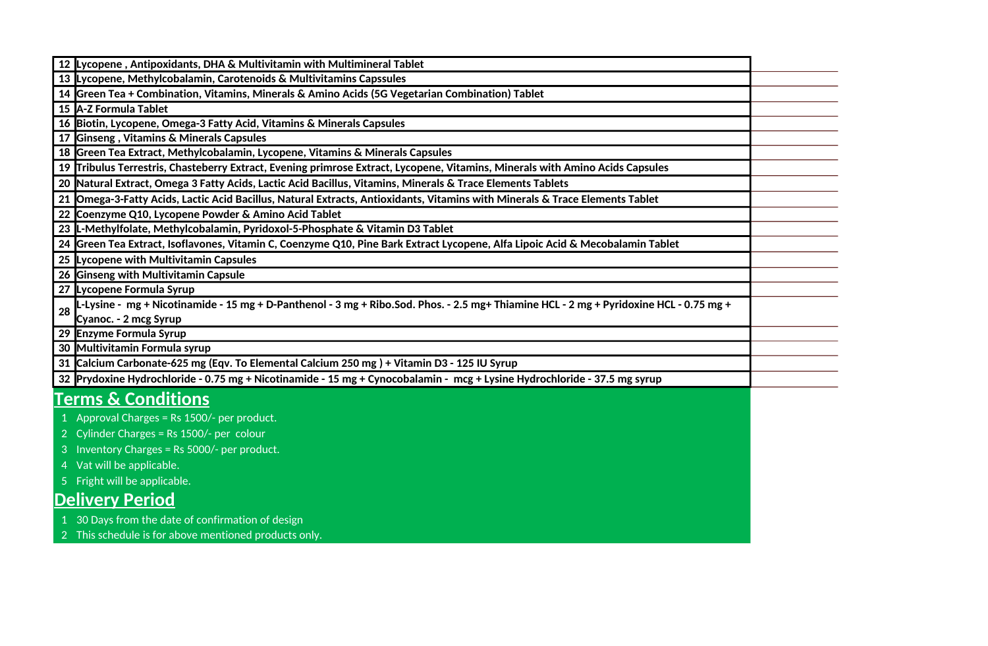|    | 12 Lycopene, Antipoxidants, DHA & Multivitamin with Multimineral Tablet                                                                |  |
|----|----------------------------------------------------------------------------------------------------------------------------------------|--|
|    | 13 Lycopene, Methylcobalamin, Carotenoids & Multivitamins Capssules                                                                    |  |
|    | 14 Green Tea + Combination, Vitamins, Minerals & Amino Acids (5G Vegetarian Combination) Tablet                                        |  |
|    | 15   A-Z Formula Tablet                                                                                                                |  |
|    | 16 Biotin, Lycopene, Omega-3 Fatty Acid, Vitamins & Minerals Capsules                                                                  |  |
|    | 17 Ginseng, Vitamins & Minerals Capsules                                                                                               |  |
|    | 18 Green Tea Extract, Methylcobalamin, Lycopene, Vitamins & Minerals Capsules                                                          |  |
|    | 19 Tribulus Terrestris, Chasteberry Extract, Evening primrose Extract, Lycopene, Vitamins, Minerals with Amino Acids Capsules          |  |
| 20 | Natural Extract, Omega 3 Fatty Acids, Lactic Acid Bacillus, Vitamins, Minerals & Trace Elements Tablets                                |  |
|    | 21 Omega-3-Fatty Acids, Lactic Acid Bacillus, Natural Extracts, Antioxidants, Vitamins with Minerals & Trace Elements Tablet           |  |
|    | 22 Coenzyme Q10, Lycopene Powder & Amino Acid Tablet                                                                                   |  |
|    | 23 L-Methylfolate, Methylcobalamin, Pyridoxol-5-Phosphate & Vitamin D3 Tablet                                                          |  |
|    | 24 Green Tea Extract, Isoflavones, Vitamin C, Coenzyme Q10, Pine Bark Extract Lycopene, Alfa Lipoic Acid & Mecobalamin Tablet          |  |
|    | 25 Lycopene with Multivitamin Capsules                                                                                                 |  |
|    | 26 Ginseng with Multivitamin Capsule                                                                                                   |  |
|    | 27 Lycopene Formula Syrup                                                                                                              |  |
| 28 | L-Lysine - mg + Nicotinamide - 15 mg + D-Panthenol - 3 mg + Ribo.Sod. Phos. - 2.5 mg+ Thiamine HCL - 2 mg + Pyridoxine HCL - 0.75 mg + |  |
|    | Cyanoc. - 2 mcg Syrup                                                                                                                  |  |
|    | 29 Enzyme Formula Syrup                                                                                                                |  |
|    | 30 Multivitamin Formula syrup                                                                                                          |  |
|    | 31 Calcium Carbonate-625 mg (Eqv. To Elemental Calcium 250 mg) + Vitamin D3 - 125 IU Syrup                                             |  |
|    | 32 Prydoxine Hydrochloride - 0.75 mg + Nicotinamide - 15 mg + Cynocobalamin - mcg + Lysine Hydrochloride - 37.5 mg syrup               |  |
|    | <b>Terms &amp; Conditions</b>                                                                                                          |  |
|    | 1 Approval Charges = Rs 1500/- per product.                                                                                            |  |
|    | 2 Cylinder Charges = Rs 1500/- per colour                                                                                              |  |
| 3  | Inventory Charges = Rs 5000/- per product.                                                                                             |  |
|    | 4 Vat will be applicable.                                                                                                              |  |
|    | 5 Fright will be applicable.                                                                                                           |  |
|    | <b>Delivery Period</b>                                                                                                                 |  |
|    | 1 30 Days from the date of confirmation of design                                                                                      |  |
|    | 2 This schedule is for above mentioned products only.                                                                                  |  |
|    |                                                                                                                                        |  |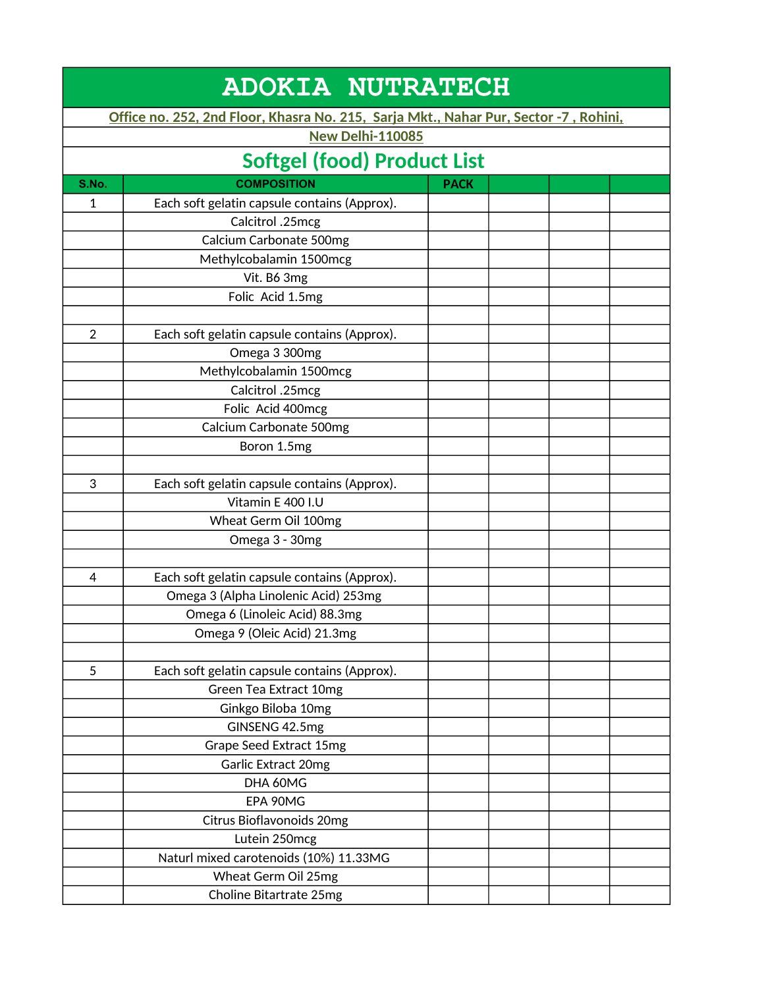| <b>ADOKIA NUTRATECH</b> |                                                                                      |             |  |  |
|-------------------------|--------------------------------------------------------------------------------------|-------------|--|--|
|                         | Office no. 252, 2nd Floor, Khasra No. 215, Sarja Mkt., Nahar Pur, Sector -7, Rohini, |             |  |  |
|                         | <b>New Delhi-110085</b>                                                              |             |  |  |
|                         | <b>Softgel (food) Product List</b>                                                   |             |  |  |
| S.No.                   | <b>COMPOSITION</b>                                                                   | <b>PACK</b> |  |  |
| 1                       | Each soft gelatin capsule contains (Approx).                                         |             |  |  |
|                         | Calcitrol .25mcg                                                                     |             |  |  |
|                         | Calcium Carbonate 500mg                                                              |             |  |  |
|                         | Methylcobalamin 1500mcg                                                              |             |  |  |
|                         | Vit. B6 3mg                                                                          |             |  |  |
|                         | Folic Acid 1.5mg                                                                     |             |  |  |
|                         |                                                                                      |             |  |  |
| $\overline{2}$          | Each soft gelatin capsule contains (Approx).                                         |             |  |  |
|                         | Omega 3 300mg                                                                        |             |  |  |
|                         | Methylcobalamin 1500mcg                                                              |             |  |  |
|                         | Calcitrol .25mcg                                                                     |             |  |  |
|                         | Folic Acid 400mcg                                                                    |             |  |  |
|                         | Calcium Carbonate 500mg                                                              |             |  |  |
|                         | Boron 1.5mg                                                                          |             |  |  |
|                         |                                                                                      |             |  |  |
| 3                       | Each soft gelatin capsule contains (Approx).                                         |             |  |  |
|                         | Vitamin E 400 I.U                                                                    |             |  |  |
|                         | Wheat Germ Oil 100mg                                                                 |             |  |  |
|                         | Omega 3 - 30mg                                                                       |             |  |  |
|                         |                                                                                      |             |  |  |
| 4                       | Each soft gelatin capsule contains (Approx).                                         |             |  |  |
|                         | Omega 3 (Alpha Linolenic Acid) 253mg                                                 |             |  |  |
|                         | Omega 6 (Linoleic Acid) 88.3mg                                                       |             |  |  |
|                         | Omega 9 (Oleic Acid) 21.3mg                                                          |             |  |  |
|                         |                                                                                      |             |  |  |
| 5                       | Each soft gelatin capsule contains (Approx).                                         |             |  |  |
|                         | Green Tea Extract 10mg                                                               |             |  |  |
|                         | Ginkgo Biloba 10mg                                                                   |             |  |  |
|                         | GINSENG 42.5mg                                                                       |             |  |  |
|                         | Grape Seed Extract 15mg                                                              |             |  |  |
|                         | Garlic Extract 20mg                                                                  |             |  |  |
|                         | DHA 60MG                                                                             |             |  |  |
|                         | EPA 90MG                                                                             |             |  |  |
|                         | Citrus Bioflavonoids 20mg                                                            |             |  |  |
|                         | Lutein 250mcg                                                                        |             |  |  |
|                         | Naturl mixed carotenoids (10%) 11.33MG                                               |             |  |  |
|                         | Wheat Germ Oil 25mg                                                                  |             |  |  |
|                         | Choline Bitartrate 25mg                                                              |             |  |  |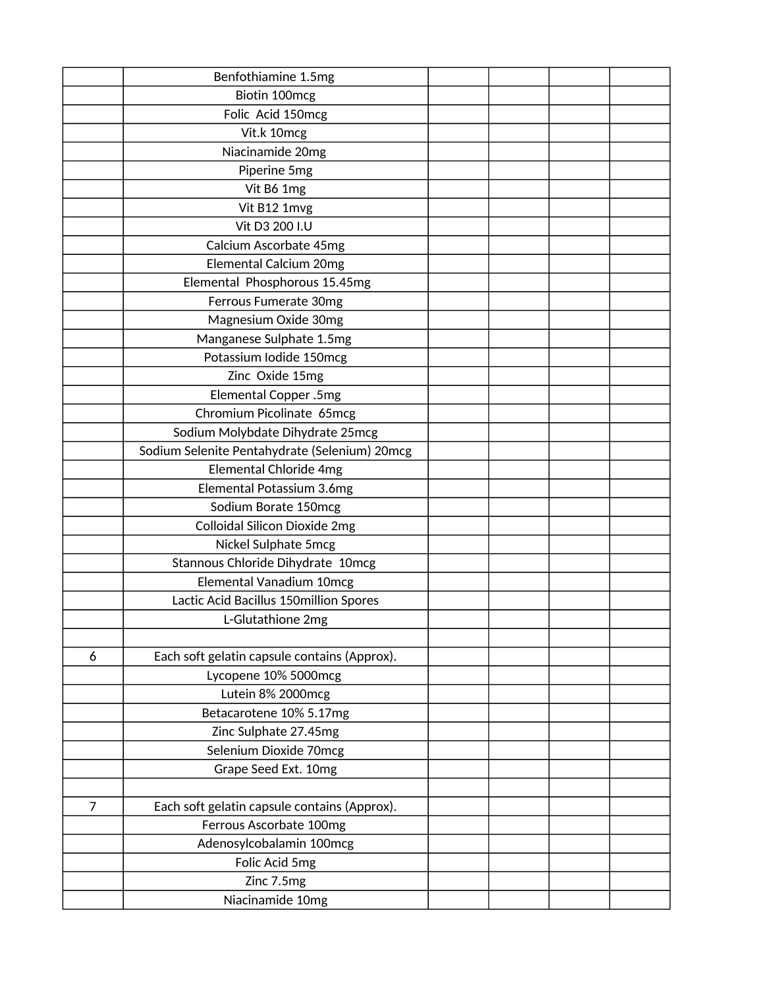|                | Benfothiamine 1.5mg                           |  |  |
|----------------|-----------------------------------------------|--|--|
|                | Biotin 100mcg                                 |  |  |
|                | Folic Acid 150mcg                             |  |  |
|                | Vit.k 10mcg                                   |  |  |
|                | Niacinamide 20mg                              |  |  |
|                | Piperine 5mg                                  |  |  |
|                | Vit B6 1mg                                    |  |  |
|                | Vit B12 1mvg                                  |  |  |
|                | Vit D3 200 I.U                                |  |  |
|                | Calcium Ascorbate 45mg                        |  |  |
|                | Elemental Calcium 20mg                        |  |  |
|                | Elemental Phosphorous 15.45mg                 |  |  |
|                | Ferrous Fumerate 30mg                         |  |  |
|                | Magnesium Oxide 30mg                          |  |  |
|                | Manganese Sulphate 1.5mg                      |  |  |
|                | Potassium Iodide 150mcg                       |  |  |
|                | Zinc Oxide 15mg                               |  |  |
|                | Elemental Copper .5mg                         |  |  |
|                | Chromium Picolinate 65mcg                     |  |  |
|                | Sodium Molybdate Dihydrate 25mcg              |  |  |
|                | Sodium Selenite Pentahydrate (Selenium) 20mcg |  |  |
|                | Elemental Chloride 4mg                        |  |  |
|                | Elemental Potassium 3.6mg                     |  |  |
|                | Sodium Borate 150mcg                          |  |  |
|                | <b>Colloidal Silicon Dioxide 2mg</b>          |  |  |
|                | Nickel Sulphate 5mcg                          |  |  |
|                | Stannous Chloride Dihydrate 10mcg             |  |  |
|                | Elemental Vanadium 10mcg                      |  |  |
|                | Lactic Acid Bacillus 150million Spores        |  |  |
|                | L-Glutathione 2mg                             |  |  |
|                |                                               |  |  |
| 6              | Each soft gelatin capsule contains (Approx).  |  |  |
|                | Lycopene 10% 5000mcg                          |  |  |
|                | Lutein 8% 2000mcg                             |  |  |
|                | Betacarotene 10% 5.17mg                       |  |  |
|                | Zinc Sulphate 27.45mg                         |  |  |
|                | Selenium Dioxide 70mcg                        |  |  |
|                | Grape Seed Ext. 10mg                          |  |  |
|                |                                               |  |  |
| $\overline{7}$ | Each soft gelatin capsule contains (Approx).  |  |  |
|                | Ferrous Ascorbate 100mg                       |  |  |
|                | Adenosylcobalamin 100mcg                      |  |  |
|                | Folic Acid 5mg                                |  |  |
|                | Zinc 7.5mg                                    |  |  |
|                | Niacinamide 10mg                              |  |  |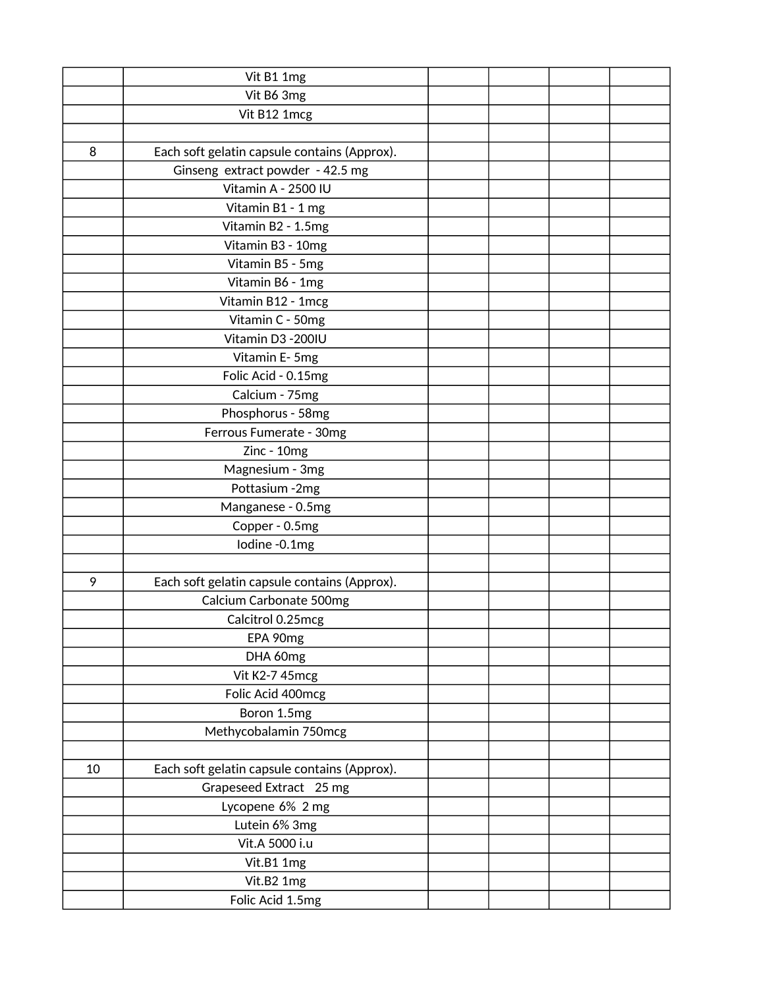|    | Vit B1 1mg                                   |  |  |
|----|----------------------------------------------|--|--|
|    | Vit B6 3mg                                   |  |  |
|    | Vit B12 1mcg                                 |  |  |
|    |                                              |  |  |
| 8  | Each soft gelatin capsule contains (Approx). |  |  |
|    | Ginseng extract powder - 42.5 mg             |  |  |
|    | Vitamin A - 2500 IU                          |  |  |
|    | Vitamin B1 - 1 mg                            |  |  |
|    | Vitamin B2 - 1.5mg                           |  |  |
|    | Vitamin B3 - 10mg                            |  |  |
|    | Vitamin B5 - 5mg                             |  |  |
|    | Vitamin B6 - 1mg                             |  |  |
|    | Vitamin B12 - 1mcg                           |  |  |
|    | Vitamin C - 50mg                             |  |  |
|    | Vitamin D3 - 200IU                           |  |  |
|    | Vitamin E-5mg                                |  |  |
|    | Folic Acid - 0.15mg                          |  |  |
|    | Calcium - 75mg                               |  |  |
|    | Phosphorus - 58mg                            |  |  |
|    | Ferrous Fumerate - 30mg                      |  |  |
|    | Zinc - 10mg                                  |  |  |
|    | Magnesium - 3mg                              |  |  |
|    | Pottasium -2mg                               |  |  |
|    | Manganese - 0.5mg                            |  |  |
|    | Copper - 0.5mg                               |  |  |
|    | Iodine -0.1mg                                |  |  |
|    |                                              |  |  |
| 9  | Each soft gelatin capsule contains (Approx). |  |  |
|    | Calcium Carbonate 500mg                      |  |  |
|    | Calcitrol 0.25mcg                            |  |  |
|    | EPA 90mg                                     |  |  |
|    | DHA 60mg                                     |  |  |
|    | Vit K2-7 45mcg                               |  |  |
|    | Folic Acid 400mcg                            |  |  |
|    | Boron 1.5mg                                  |  |  |
|    | Methycobalamin 750mcg                        |  |  |
|    |                                              |  |  |
| 10 | Each soft gelatin capsule contains (Approx). |  |  |
|    | Grapeseed Extract 25 mg                      |  |  |
|    | Lycopene 6% 2 mg                             |  |  |
|    | Lutein 6% 3mg                                |  |  |
|    | Vit.A 5000 i.u                               |  |  |
|    | Vit.B1 1mg                                   |  |  |
|    | Vit.B2 1mg                                   |  |  |
|    | Folic Acid 1.5mg                             |  |  |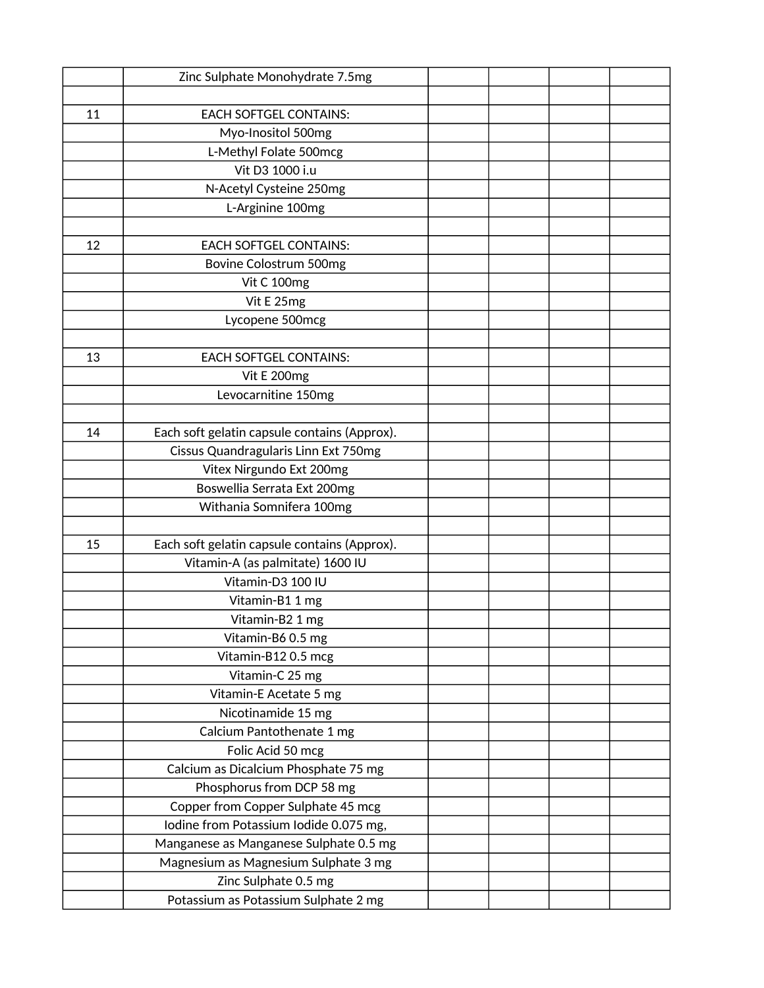|    | Zinc Sulphate Monohydrate 7.5mg              |  |  |
|----|----------------------------------------------|--|--|
|    |                                              |  |  |
| 11 | <b>EACH SOFTGEL CONTAINS:</b>                |  |  |
|    | Myo-Inositol 500mg                           |  |  |
|    | L-Methyl Folate 500mcg                       |  |  |
|    | Vit D3 1000 i.u                              |  |  |
|    | N-Acetyl Cysteine 250mg                      |  |  |
|    | L-Arginine 100mg                             |  |  |
|    |                                              |  |  |
| 12 | <b>EACH SOFTGEL CONTAINS:</b>                |  |  |
|    | Bovine Colostrum 500mg                       |  |  |
|    | Vit C 100mg                                  |  |  |
|    | Vit E 25mg                                   |  |  |
|    | Lycopene 500mcg                              |  |  |
|    |                                              |  |  |
| 13 | <b>EACH SOFTGEL CONTAINS:</b>                |  |  |
|    | Vit E 200mg                                  |  |  |
|    | Levocarnitine 150mg                          |  |  |
|    |                                              |  |  |
| 14 | Each soft gelatin capsule contains (Approx). |  |  |
|    | Cissus Quandragularis Linn Ext 750mg         |  |  |
|    | Vitex Nirgundo Ext 200mg                     |  |  |
|    | Boswellia Serrata Ext 200mg                  |  |  |
|    | Withania Somnifera 100mg                     |  |  |
|    |                                              |  |  |
| 15 | Each soft gelatin capsule contains (Approx). |  |  |
|    | Vitamin-A (as palmitate) 1600 IU             |  |  |
|    | Vitamin-D3 100 IU                            |  |  |
|    | Vitamin-B1 1 mg                              |  |  |
|    | Vitamin-B2 1 mg                              |  |  |
|    | Vitamin-B6 0.5 mg                            |  |  |
|    | Vitamin-B12 0.5 mcg                          |  |  |
|    | Vitamin-C 25 mg                              |  |  |
|    | Vitamin-E Acetate 5 mg                       |  |  |
|    | Nicotinamide 15 mg                           |  |  |
|    | Calcium Pantothenate 1 mg                    |  |  |
|    | Folic Acid 50 mcg                            |  |  |
|    | Calcium as Dicalcium Phosphate 75 mg         |  |  |
|    | Phosphorus from DCP 58 mg                    |  |  |
|    | Copper from Copper Sulphate 45 mcg           |  |  |
|    | Iodine from Potassium Iodide 0.075 mg,       |  |  |
|    | Manganese as Manganese Sulphate 0.5 mg       |  |  |
|    | Magnesium as Magnesium Sulphate 3 mg         |  |  |
|    | Zinc Sulphate 0.5 mg                         |  |  |
|    | Potassium as Potassium Sulphate 2 mg         |  |  |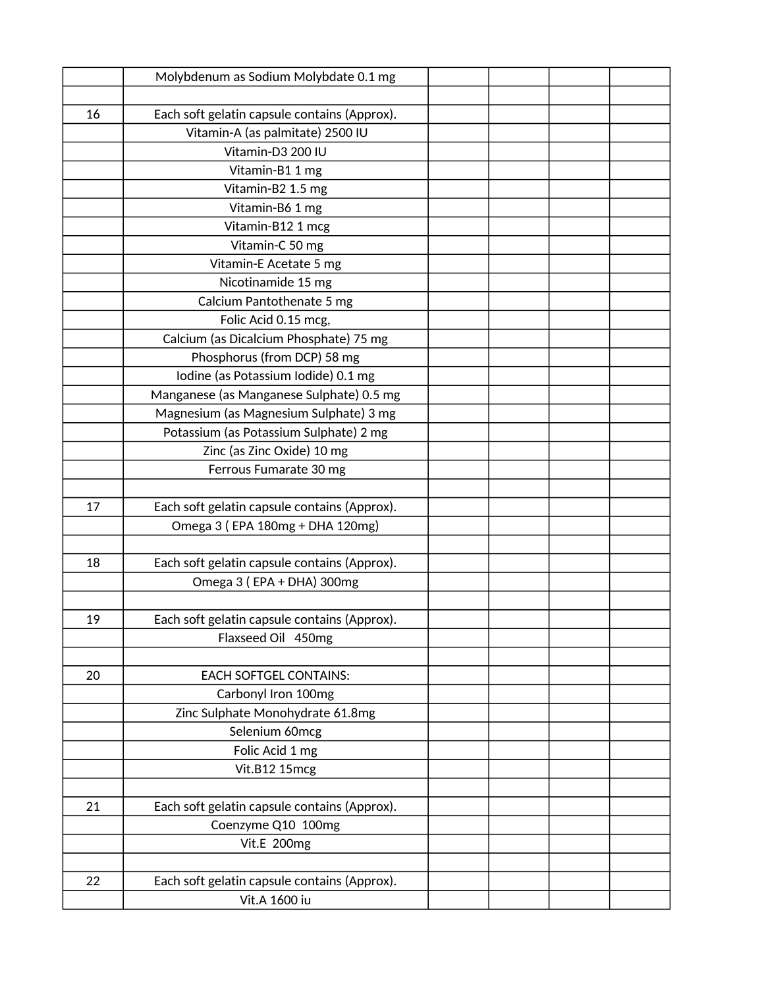|    | Molybdenum as Sodium Molybdate 0.1 mg        |  |  |
|----|----------------------------------------------|--|--|
|    |                                              |  |  |
| 16 | Each soft gelatin capsule contains (Approx). |  |  |
|    | Vitamin-A (as palmitate) 2500 IU             |  |  |
|    | Vitamin-D3 200 IU                            |  |  |
|    | Vitamin-B1 1 mg                              |  |  |
|    | Vitamin-B2 1.5 mg                            |  |  |
|    | Vitamin-B6 1 mg                              |  |  |
|    | Vitamin-B12 1 mcg                            |  |  |
|    | Vitamin-C 50 mg                              |  |  |
|    | Vitamin-E Acetate 5 mg                       |  |  |
|    | Nicotinamide 15 mg                           |  |  |
|    | Calcium Pantothenate 5 mg                    |  |  |
|    | Folic Acid 0.15 mcg,                         |  |  |
|    | Calcium (as Dicalcium Phosphate) 75 mg       |  |  |
|    | Phosphorus (from DCP) 58 mg                  |  |  |
|    | Iodine (as Potassium Iodide) 0.1 mg          |  |  |
|    | Manganese (as Manganese Sulphate) 0.5 mg     |  |  |
|    | Magnesium (as Magnesium Sulphate) 3 mg       |  |  |
|    | Potassium (as Potassium Sulphate) 2 mg       |  |  |
|    | Zinc (as Zinc Oxide) 10 mg                   |  |  |
|    | Ferrous Fumarate 30 mg                       |  |  |
|    |                                              |  |  |
| 17 | Each soft gelatin capsule contains (Approx). |  |  |
|    | Omega 3 (EPA 180mg + DHA 120mg)              |  |  |
|    |                                              |  |  |
| 18 | Each soft gelatin capsule contains (Approx). |  |  |
|    | Omega 3 (EPA + DHA) 300mg                    |  |  |
|    |                                              |  |  |
| 19 | Each soft gelatin capsule contains (Approx). |  |  |
|    | Flaxseed Oil 450mg                           |  |  |
|    |                                              |  |  |
| 20 | <b>EACH SOFTGEL CONTAINS:</b>                |  |  |
|    | Carbonyl Iron 100mg                          |  |  |
|    | Zinc Sulphate Monohydrate 61.8mg             |  |  |
|    | Selenium 60mcg                               |  |  |
|    | Folic Acid 1 mg                              |  |  |
|    | Vit.B12 15mcg                                |  |  |
|    |                                              |  |  |
| 21 | Each soft gelatin capsule contains (Approx). |  |  |
|    | Coenzyme Q10 100mg                           |  |  |
|    | Vit.E 200mg                                  |  |  |
|    |                                              |  |  |
| 22 | Each soft gelatin capsule contains (Approx). |  |  |
|    | Vit.A 1600 iu                                |  |  |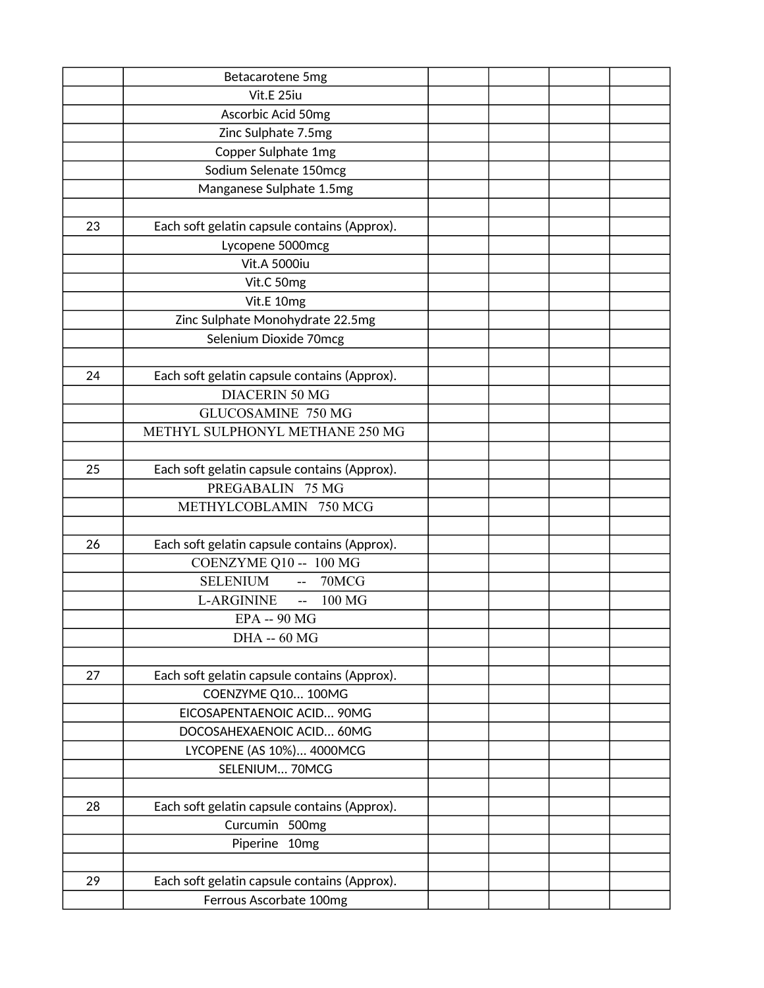|    | Betacarotene 5mg                             |  |  |
|----|----------------------------------------------|--|--|
|    | Vit.E 25iu                                   |  |  |
|    | Ascorbic Acid 50mg                           |  |  |
|    | Zinc Sulphate 7.5mg                          |  |  |
|    | Copper Sulphate 1mg                          |  |  |
|    | Sodium Selenate 150mcg                       |  |  |
|    | Manganese Sulphate 1.5mg                     |  |  |
|    |                                              |  |  |
| 23 | Each soft gelatin capsule contains (Approx). |  |  |
|    | Lycopene 5000mcg                             |  |  |
|    | <b>Vit.A 5000iu</b>                          |  |  |
|    | Vit.C 50mg                                   |  |  |
|    | Vit.E 10mg                                   |  |  |
|    | Zinc Sulphate Monohydrate 22.5mg             |  |  |
|    | Selenium Dioxide 70mcg                       |  |  |
|    |                                              |  |  |
| 24 | Each soft gelatin capsule contains (Approx). |  |  |
|    | <b>DIACERIN 50 MG</b>                        |  |  |
|    | GLUCOSAMINE 750 MG                           |  |  |
|    | METHYL SULPHONYL METHANE 250 MG              |  |  |
|    |                                              |  |  |
| 25 | Each soft gelatin capsule contains (Approx). |  |  |
|    | PREGABALIN 75 MG                             |  |  |
|    | METHYLCOBLAMIN 750 MCG                       |  |  |
|    |                                              |  |  |
| 26 | Each soft gelatin capsule contains (Approx). |  |  |
|    | COENZYME Q10 -- 100 MG                       |  |  |
|    | <b>SELENIUM</b><br>70MCG<br>$\sim$ $\sim$    |  |  |
|    | L-ARGININE<br>100 MG<br>$\sim$ $\sim$        |  |  |
|    | <b>EPA -- 90 MG</b>                          |  |  |
|    | <b>DHA -- 60 MG</b>                          |  |  |
|    |                                              |  |  |
| 27 | Each soft gelatin capsule contains (Approx). |  |  |
|    | COENZYME Q10 100MG                           |  |  |
|    | EICOSAPENTAENOIC ACID 90MG                   |  |  |
|    | DOCOSAHEXAENOIC ACID 60MG                    |  |  |
|    | LYCOPENE (AS 10%) 4000MCG                    |  |  |
|    | SELENIUM 70MCG                               |  |  |
|    |                                              |  |  |
| 28 | Each soft gelatin capsule contains (Approx). |  |  |
|    | Curcumin 500mg                               |  |  |
|    | Piperine 10mg                                |  |  |
|    |                                              |  |  |
| 29 | Each soft gelatin capsule contains (Approx). |  |  |
|    | Ferrous Ascorbate 100mg                      |  |  |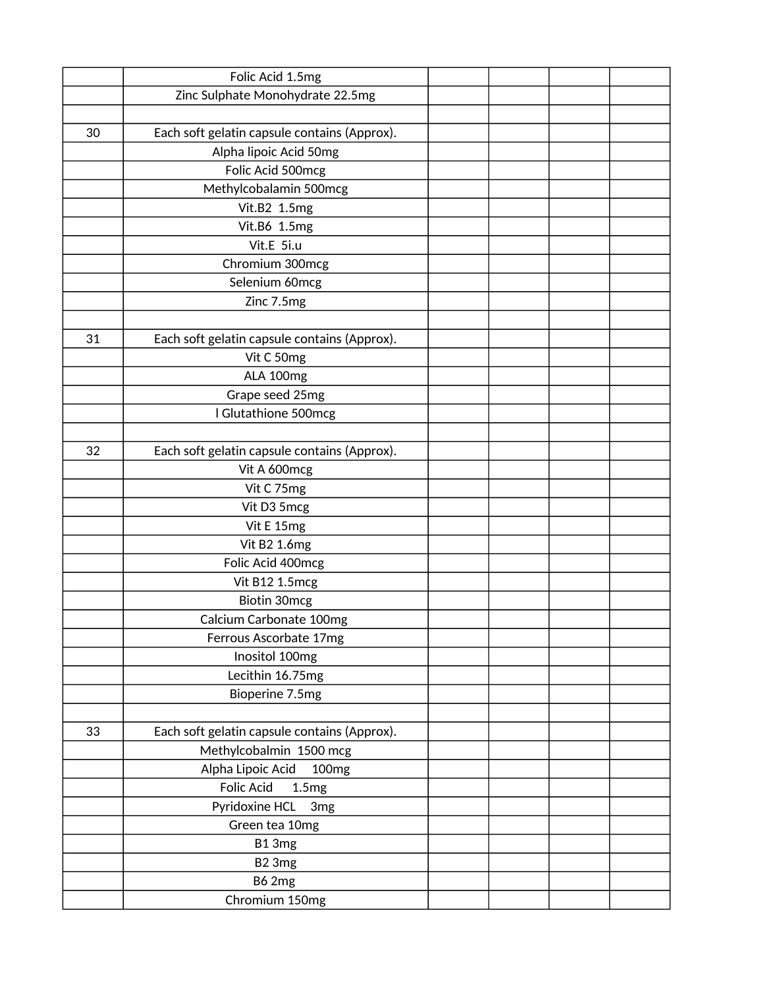|    | Folic Acid 1.5mg                             |  |  |
|----|----------------------------------------------|--|--|
|    | Zinc Sulphate Monohydrate 22.5mg             |  |  |
|    |                                              |  |  |
| 30 | Each soft gelatin capsule contains (Approx). |  |  |
|    | Alpha lipoic Acid 50mg                       |  |  |
|    | Folic Acid 500mcg                            |  |  |
|    | Methylcobalamin 500mcg                       |  |  |
|    | Vit.B2 1.5mg                                 |  |  |
|    | Vit.B6 1.5mg                                 |  |  |
|    | Vit.E 5i.u                                   |  |  |
|    | Chromium 300mcg                              |  |  |
|    | Selenium 60mcg                               |  |  |
|    | Zinc 7.5mg                                   |  |  |
|    |                                              |  |  |
| 31 | Each soft gelatin capsule contains (Approx). |  |  |
|    | Vit C 50mg                                   |  |  |
|    | ALA 100mg                                    |  |  |
|    | Grape seed 25mg                              |  |  |
|    | I Glutathione 500mcg                         |  |  |
|    |                                              |  |  |
| 32 | Each soft gelatin capsule contains (Approx). |  |  |
|    | Vit A 600mcg                                 |  |  |
|    | Vit C 75mg                                   |  |  |
|    | Vit D3 5mcg                                  |  |  |
|    | Vit E 15mg                                   |  |  |
|    | Vit B2 1.6mg                                 |  |  |
|    | Folic Acid 400mcg                            |  |  |
|    | Vit B12 1.5mcg                               |  |  |
|    | Biotin 30mcg                                 |  |  |
|    | Calcium Carbonate 100mg                      |  |  |
|    | Ferrous Ascorbate 17mg                       |  |  |
|    | Inositol 100mg                               |  |  |
|    | Lecithin 16.75mg                             |  |  |
|    | Bioperine 7.5mg                              |  |  |
|    |                                              |  |  |
| 33 | Each soft gelatin capsule contains (Approx). |  |  |
|    | Methylcobalmin 1500 mcg                      |  |  |
|    | Alpha Lipoic Acid<br>100 <sub>mg</sub>       |  |  |
|    | <b>Folic Acid</b><br>1.5mg                   |  |  |
|    | Pyridoxine HCL<br>3 <sub>mg</sub>            |  |  |
|    | Green tea 10mg                               |  |  |
|    | B13mg                                        |  |  |
|    | B <sub>2</sub> 3mg                           |  |  |
|    | <b>B62mg</b>                                 |  |  |
|    | Chromium 150mg                               |  |  |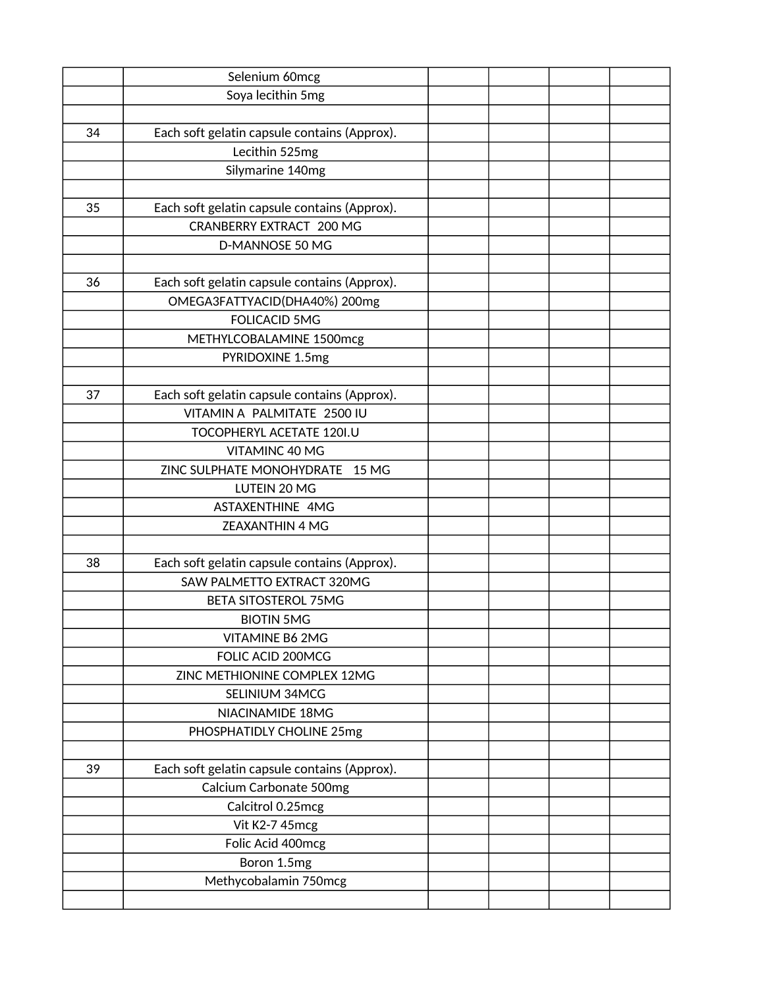|    | Selenium 60mcg                               |  |  |
|----|----------------------------------------------|--|--|
|    | Soya lecithin 5mg                            |  |  |
|    |                                              |  |  |
| 34 | Each soft gelatin capsule contains (Approx). |  |  |
|    | Lecithin 525mg                               |  |  |
|    | Silymarine 140mg                             |  |  |
|    |                                              |  |  |
| 35 | Each soft gelatin capsule contains (Approx). |  |  |
|    | <b>CRANBERRY EXTRACT 200 MG</b>              |  |  |
|    | D-MANNOSE 50 MG                              |  |  |
|    |                                              |  |  |
| 36 | Each soft gelatin capsule contains (Approx). |  |  |
|    | OMEGA3FATTYACID(DHA40%) 200mg                |  |  |
|    | <b>FOLICACID 5MG</b>                         |  |  |
|    | METHYLCOBALAMINE 1500mcg                     |  |  |
|    | PYRIDOXINE 1.5mg                             |  |  |
|    |                                              |  |  |
| 37 | Each soft gelatin capsule contains (Approx). |  |  |
|    | VITAMIN A PALMITATE 2500 IU                  |  |  |
|    | TOCOPHERYL ACETATE 120I.U                    |  |  |
|    | VITAMINC 40 MG                               |  |  |
|    | ZINC SULPHATE MONOHYDRATE<br>15 MG           |  |  |
|    | LUTEIN 20 MG                                 |  |  |
|    | ASTAXENTHINE 4MG                             |  |  |
|    | <b>ZEAXANTHIN 4 MG</b>                       |  |  |
|    |                                              |  |  |
| 38 | Each soft gelatin capsule contains (Approx). |  |  |
|    | <b>SAW PALMETTO EXTRACT 320MG</b>            |  |  |
|    | <b>BETA SITOSTEROL 75MG</b>                  |  |  |
|    | <b>BIOTIN 5MG</b>                            |  |  |
|    | VITAMINE B6 2MG                              |  |  |
|    | FOLIC ACID 200MCG                            |  |  |
|    | ZINC METHIONINE COMPLEX 12MG                 |  |  |
|    | SELINIUM 34MCG                               |  |  |
|    | NIACINAMIDE 18MG                             |  |  |
|    | PHOSPHATIDLY CHOLINE 25mg                    |  |  |
|    |                                              |  |  |
| 39 | Each soft gelatin capsule contains (Approx). |  |  |
|    | Calcium Carbonate 500mg                      |  |  |
|    | Calcitrol 0.25mcg                            |  |  |
|    | Vit K2-7 45mcg                               |  |  |
|    | Folic Acid 400mcg                            |  |  |
|    | Boron 1.5mg                                  |  |  |
|    | Methycobalamin 750mcg                        |  |  |
|    |                                              |  |  |
|    |                                              |  |  |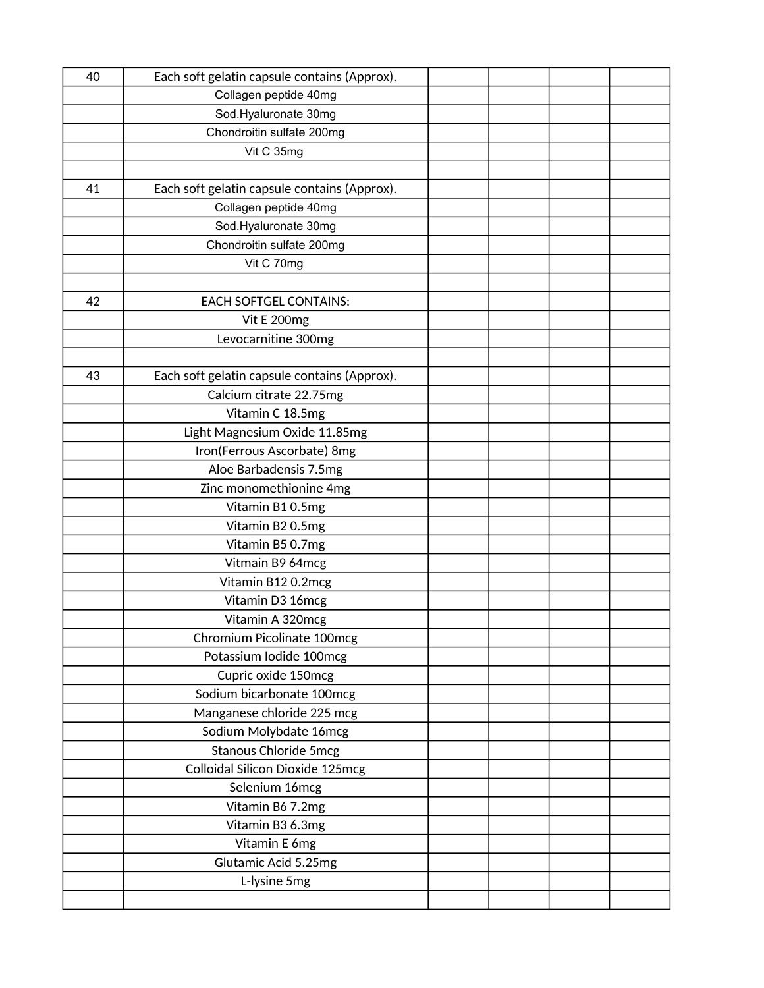| 40 | Each soft gelatin capsule contains (Approx). |  |  |
|----|----------------------------------------------|--|--|
|    | Collagen peptide 40mg                        |  |  |
|    | Sod.Hyaluronate 30mg                         |  |  |
|    | Chondroitin sulfate 200mg                    |  |  |
|    | Vit C 35mg                                   |  |  |
|    |                                              |  |  |
| 41 | Each soft gelatin capsule contains (Approx). |  |  |
|    | Collagen peptide 40mg                        |  |  |
|    | Sod.Hyaluronate 30mg                         |  |  |
|    | Chondroitin sulfate 200mg                    |  |  |
|    | Vit C 70mg                                   |  |  |
|    |                                              |  |  |
| 42 | <b>EACH SOFTGEL CONTAINS:</b>                |  |  |
|    | Vit E 200mg                                  |  |  |
|    | Levocarnitine 300mg                          |  |  |
|    |                                              |  |  |
| 43 | Each soft gelatin capsule contains (Approx). |  |  |
|    | Calcium citrate 22.75mg                      |  |  |
|    | Vitamin C 18.5mg                             |  |  |
|    | Light Magnesium Oxide 11.85mg                |  |  |
|    | Iron(Ferrous Ascorbate) 8mg                  |  |  |
|    | Aloe Barbadensis 7.5mg                       |  |  |
|    | Zinc monomethionine 4mg                      |  |  |
|    | Vitamin B10.5mg                              |  |  |
|    | Vitamin B2 0.5mg                             |  |  |
|    | Vitamin B5 0.7mg                             |  |  |
|    | Vitmain B9 64mcg                             |  |  |
|    | Vitamin B12 0.2mcg                           |  |  |
|    | Vitamin D3 16mcg                             |  |  |
|    | Vitamin A 320mcg                             |  |  |
|    | Chromium Picolinate 100mcg                   |  |  |
|    | Potassium Iodide 100mcg                      |  |  |
|    | Cupric oxide 150mcg                          |  |  |
|    | Sodium bicarbonate 100mcg                    |  |  |
|    | Manganese chloride 225 mcg                   |  |  |
|    | Sodium Molybdate 16mcg                       |  |  |
|    | <b>Stanous Chloride 5mcg</b>                 |  |  |
|    | Colloidal Silicon Dioxide 125mcg             |  |  |
|    | Selenium 16mcg                               |  |  |
|    | Vitamin B6 7.2mg                             |  |  |
|    | Vitamin B3 6.3mg                             |  |  |
|    | Vitamin E 6mg                                |  |  |
|    | Glutamic Acid 5.25mg                         |  |  |
|    | L-lysine 5mg                                 |  |  |
|    |                                              |  |  |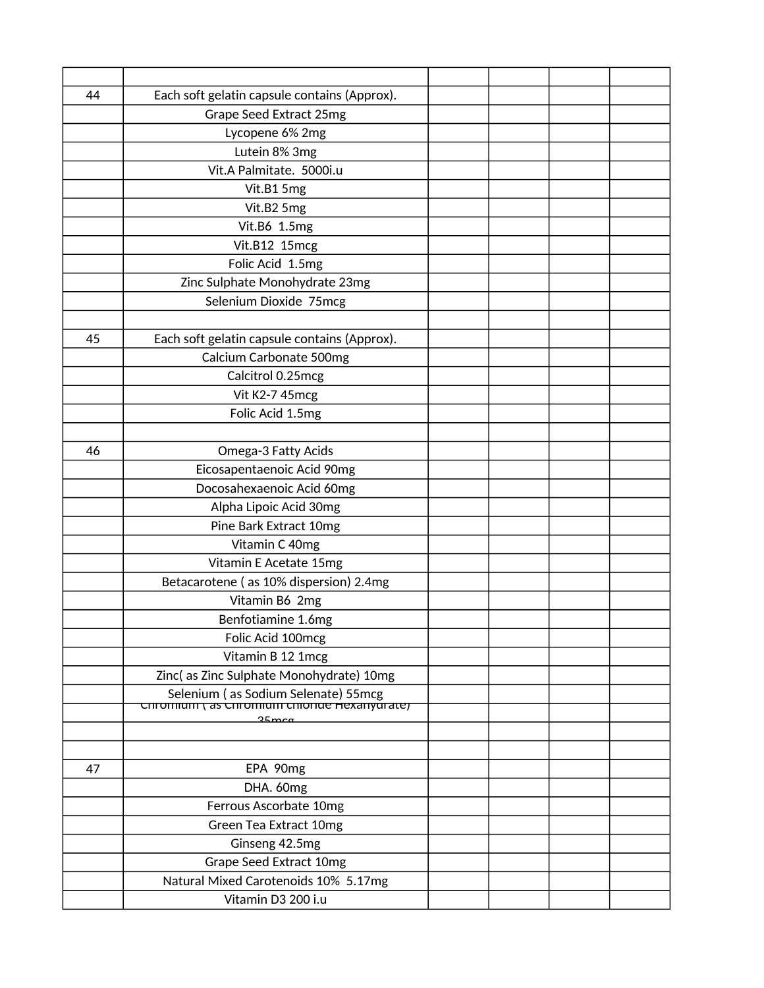| 44 | Each soft gelatin capsule contains (Approx).                                                        |  |  |
|----|-----------------------------------------------------------------------------------------------------|--|--|
|    | Grape Seed Extract 25mg                                                                             |  |  |
|    | Lycopene 6% 2mg                                                                                     |  |  |
|    | Lutein 8% 3mg                                                                                       |  |  |
|    | Vit.A Palmitate. 5000i.u                                                                            |  |  |
|    | Vit.B1 5mg                                                                                          |  |  |
|    | Vit.B2 5mg                                                                                          |  |  |
|    | Vit.B6 1.5mg                                                                                        |  |  |
|    | Vit.B12 15mcg                                                                                       |  |  |
|    | Folic Acid 1.5mg                                                                                    |  |  |
|    | Zinc Sulphate Monohydrate 23mg                                                                      |  |  |
|    | Selenium Dioxide 75mcg                                                                              |  |  |
|    |                                                                                                     |  |  |
| 45 | Each soft gelatin capsule contains (Approx).                                                        |  |  |
|    | Calcium Carbonate 500mg                                                                             |  |  |
|    | Calcitrol 0.25mcg                                                                                   |  |  |
|    | Vit K2-7 45mcg                                                                                      |  |  |
|    | Folic Acid 1.5mg                                                                                    |  |  |
|    |                                                                                                     |  |  |
| 46 | Omega-3 Fatty Acids                                                                                 |  |  |
|    | Eicosapentaenoic Acid 90mg                                                                          |  |  |
|    | Docosahexaenoic Acid 60mg                                                                           |  |  |
|    | Alpha Lipoic Acid 30mg                                                                              |  |  |
|    | Pine Bark Extract 10mg                                                                              |  |  |
|    | Vitamin C 40mg                                                                                      |  |  |
|    | Vitamin E Acetate 15mg                                                                              |  |  |
|    | Betacarotene (as 10% dispersion) 2.4mg                                                              |  |  |
|    | Vitamin B6 2mg                                                                                      |  |  |
|    | Benfotiamine 1.6mg                                                                                  |  |  |
|    | Folic Acid 100mcg                                                                                   |  |  |
|    | Vitamin B 12 1mcg                                                                                   |  |  |
|    | Zinc(as Zinc Sulphate Monohydrate) 10mg                                                             |  |  |
|    | Selenium (as Sodium Selenate) 55mcg<br>CHE CHE COMPORE HEXAIN CHERRITY (35 CHEDING CHERRITY OF ALL) |  |  |
|    | $25 \text{m}$ ca                                                                                    |  |  |
|    |                                                                                                     |  |  |
|    |                                                                                                     |  |  |
| 47 | EPA 90mg                                                                                            |  |  |
|    | DHA. 60mg                                                                                           |  |  |
|    | Ferrous Ascorbate 10mg                                                                              |  |  |
|    | Green Tea Extract 10mg                                                                              |  |  |
|    | Ginseng 42.5mg                                                                                      |  |  |
|    | Grape Seed Extract 10mg                                                                             |  |  |
|    | Natural Mixed Carotenoids 10% 5.17mg                                                                |  |  |
|    | Vitamin D3 200 i.u                                                                                  |  |  |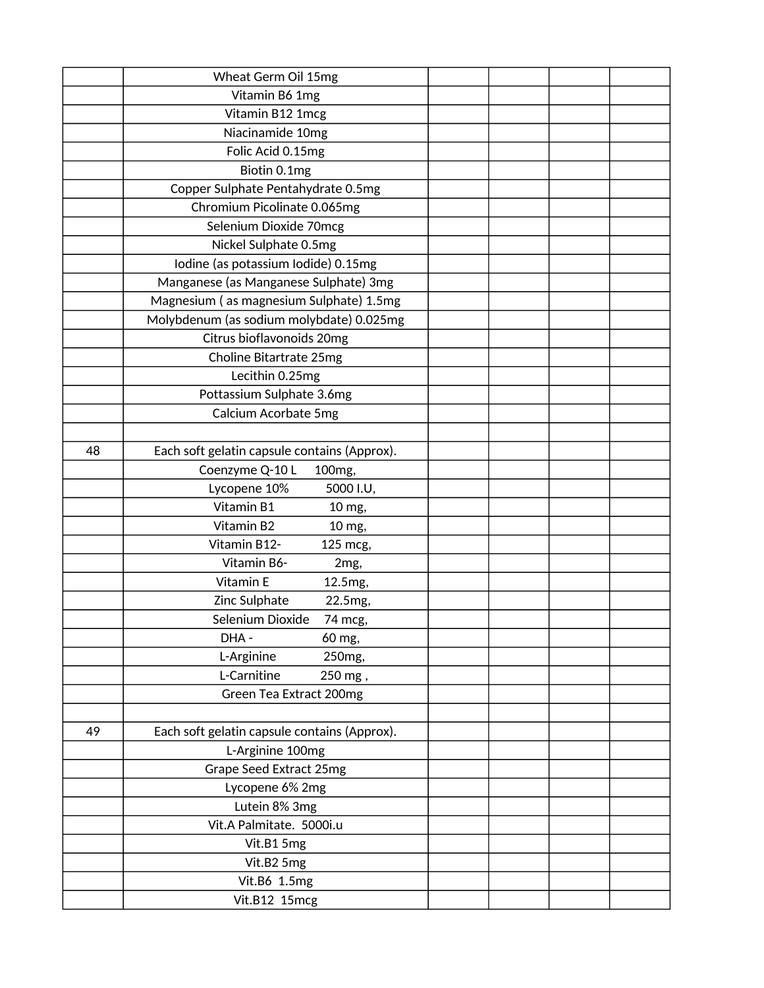|    | Wheat Germ Oil 15mg                          |  |  |
|----|----------------------------------------------|--|--|
|    | Vitamin B6 1mg                               |  |  |
|    | Vitamin B12 1mcg                             |  |  |
|    | Niacinamide 10mg                             |  |  |
|    | Folic Acid 0.15mg                            |  |  |
|    | Biotin 0.1mg                                 |  |  |
|    | Copper Sulphate Pentahydrate 0.5mg           |  |  |
|    | Chromium Picolinate 0.065mg                  |  |  |
|    | Selenium Dioxide 70mcg                       |  |  |
|    | Nickel Sulphate 0.5mg                        |  |  |
|    | Iodine (as potassium Iodide) 0.15mg          |  |  |
|    | Manganese (as Manganese Sulphate) 3mg        |  |  |
|    | Magnesium (as magnesium Sulphate) 1.5mg      |  |  |
|    | Molybdenum (as sodium molybdate) 0.025mg     |  |  |
|    | Citrus bioflavonoids 20mg                    |  |  |
|    | Choline Bitartrate 25mg                      |  |  |
|    | Lecithin 0.25mg                              |  |  |
|    | Pottassium Sulphate 3.6mg                    |  |  |
|    | Calcium Acorbate 5mg                         |  |  |
|    |                                              |  |  |
| 48 | Each soft gelatin capsule contains (Approx). |  |  |
|    | Coenzyme Q-10L<br>100mg,                     |  |  |
|    | Lycopene 10%<br>5000 I.U,                    |  |  |
|    | Vitamin B1<br>10 mg,                         |  |  |
|    | Vitamin B2<br>10 mg,                         |  |  |
|    | Vitamin B12-<br>125 mcg,                     |  |  |
|    | Vitamin B6-<br>2mg,                          |  |  |
|    | Vitamin E<br>12.5mg,                         |  |  |
|    | Zinc Sulphate<br>22.5mg,                     |  |  |
|    | Selenium Dioxide<br>74 mcg,                  |  |  |
|    | DHA-<br>60 mg,                               |  |  |
|    | L-Arginine<br>250mg,                         |  |  |
|    | L-Carnitine<br>250 mg,                       |  |  |
|    | Green Tea Extract 200mg                      |  |  |
|    |                                              |  |  |
| 49 | Each soft gelatin capsule contains (Approx). |  |  |
|    | L-Arginine 100mg                             |  |  |
|    | Grape Seed Extract 25mg                      |  |  |
|    | Lycopene 6% 2mg                              |  |  |
|    | Lutein 8% 3mg                                |  |  |
|    | Vit.A Palmitate. 5000i.u                     |  |  |
|    | Vit.B1 5mg                                   |  |  |
|    | Vit.B2 5mg                                   |  |  |
|    | Vit.B6 1.5mg                                 |  |  |
|    | Vit.B12 15mcg                                |  |  |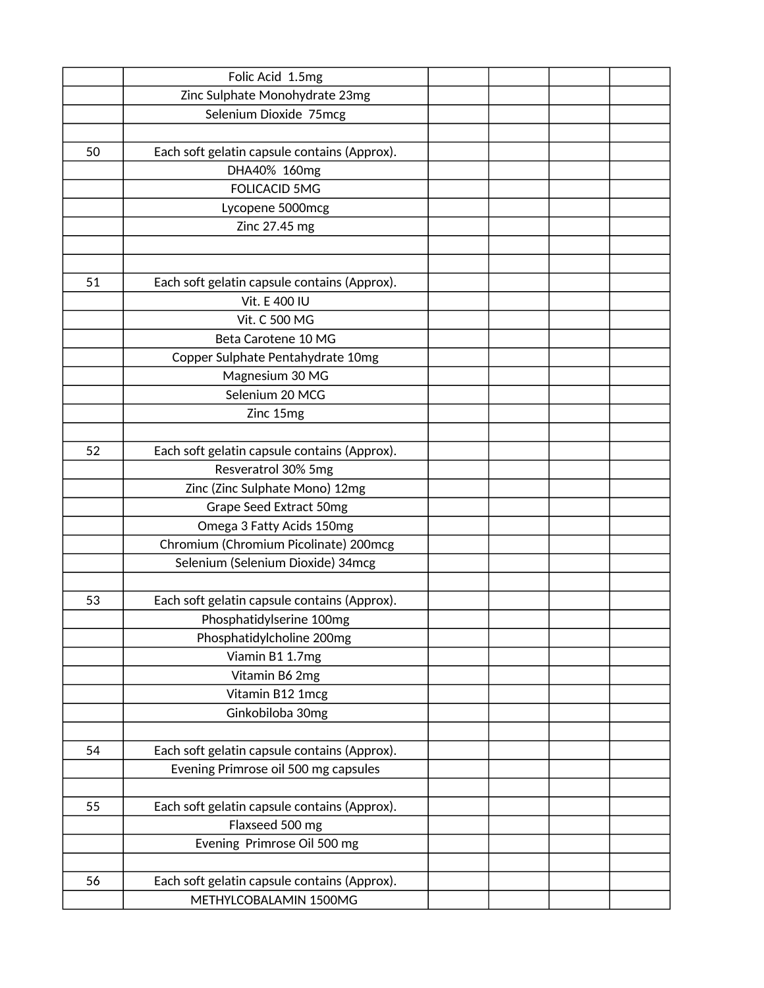|    | Folic Acid 1.5mg                             |  |  |
|----|----------------------------------------------|--|--|
|    | Zinc Sulphate Monohydrate 23mg               |  |  |
|    | Selenium Dioxide 75mcg                       |  |  |
|    |                                              |  |  |
| 50 | Each soft gelatin capsule contains (Approx). |  |  |
|    | DHA40% 160mg                                 |  |  |
|    | <b>FOLICACID 5MG</b>                         |  |  |
|    | Lycopene 5000mcg                             |  |  |
|    | Zinc 27.45 mg                                |  |  |
|    |                                              |  |  |
|    |                                              |  |  |
| 51 | Each soft gelatin capsule contains (Approx). |  |  |
|    | Vit. E 400 IU                                |  |  |
|    | Vit. C 500 MG                                |  |  |
|    | Beta Carotene 10 MG                          |  |  |
|    | Copper Sulphate Pentahydrate 10mg            |  |  |
|    | Magnesium 30 MG                              |  |  |
|    | Selenium 20 MCG                              |  |  |
|    | Zinc 15mg                                    |  |  |
|    |                                              |  |  |
| 52 | Each soft gelatin capsule contains (Approx). |  |  |
|    | Resveratrol 30% 5mg                          |  |  |
|    | Zinc (Zinc Sulphate Mono) 12mg               |  |  |
|    | Grape Seed Extract 50mg                      |  |  |
|    | Omega 3 Fatty Acids 150mg                    |  |  |
|    | Chromium (Chromium Picolinate) 200mcg        |  |  |
|    | Selenium (Selenium Dioxide) 34mcg            |  |  |
|    |                                              |  |  |
| 53 | Each soft gelatin capsule contains (Approx). |  |  |
|    | Phosphatidylserine 100mg                     |  |  |
|    | Phosphatidylcholine 200mg                    |  |  |
|    | Viamin B1 1.7mg                              |  |  |
|    | Vitamin B6 2mg                               |  |  |
|    | Vitamin B12 1mcg                             |  |  |
|    | Ginkobiloba 30mg                             |  |  |
|    |                                              |  |  |
| 54 | Each soft gelatin capsule contains (Approx). |  |  |
|    | Evening Primrose oil 500 mg capsules         |  |  |
|    |                                              |  |  |
| 55 | Each soft gelatin capsule contains (Approx). |  |  |
|    | Flaxseed 500 mg                              |  |  |
|    | Evening Primrose Oil 500 mg                  |  |  |
|    |                                              |  |  |
| 56 | Each soft gelatin capsule contains (Approx). |  |  |
|    | METHYLCOBALAMIN 1500MG                       |  |  |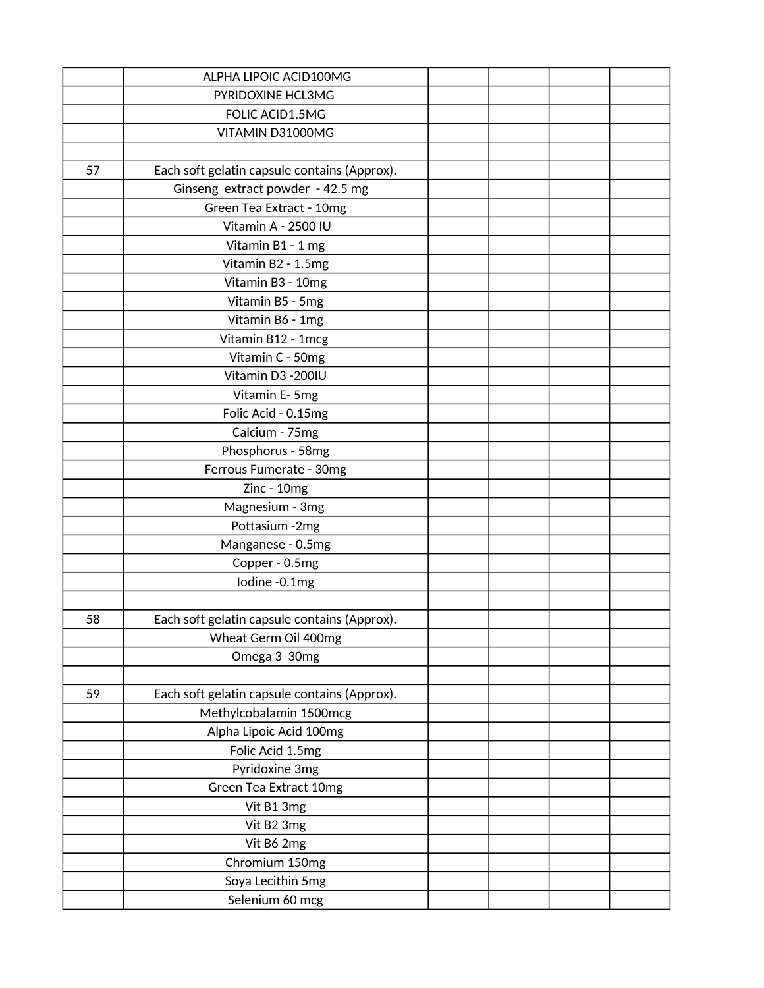|    | ALPHA LIPOIC ACID100MG                       |  |  |
|----|----------------------------------------------|--|--|
|    | PYRIDOXINE HCL3MG                            |  |  |
|    | FOLIC ACID1.5MG                              |  |  |
|    | VITAMIN D31000MG                             |  |  |
|    |                                              |  |  |
| 57 | Each soft gelatin capsule contains (Approx). |  |  |
|    | Ginseng extract powder - 42.5 mg             |  |  |
|    | Green Tea Extract - 10mg                     |  |  |
|    | Vitamin A - 2500 IU                          |  |  |
|    | Vitamin B1 - 1 mg                            |  |  |
|    | Vitamin B2 - 1.5mg                           |  |  |
|    | Vitamin B3 - 10mg                            |  |  |
|    | Vitamin B5 - 5mg                             |  |  |
|    | Vitamin B6 - 1mg                             |  |  |
|    | Vitamin B12 - 1mcg                           |  |  |
|    | Vitamin C - 50mg                             |  |  |
|    | Vitamin D3 - 200IU                           |  |  |
|    | Vitamin E-5mg                                |  |  |
|    | Folic Acid - 0.15mg                          |  |  |
|    | Calcium - 75mg                               |  |  |
|    | Phosphorus - 58mg                            |  |  |
|    | Ferrous Fumerate - 30mg                      |  |  |
|    | Zinc - 10mg                                  |  |  |
|    | Magnesium - 3mg                              |  |  |
|    | Pottasium -2mg                               |  |  |
|    | Manganese - 0.5mg                            |  |  |
|    | Copper - 0.5mg                               |  |  |
|    | lodine -0.1mg                                |  |  |
|    |                                              |  |  |
| 58 | Each soft gelatin capsule contains (Approx). |  |  |
|    | Wheat Germ Oil 400mg                         |  |  |
|    | Omega 3 30mg                                 |  |  |
|    |                                              |  |  |
| 59 | Each soft gelatin capsule contains (Approx). |  |  |
|    | Methylcobalamin 1500mcg                      |  |  |
|    | Alpha Lipoic Acid 100mg                      |  |  |
|    | Folic Acid 1.5mg                             |  |  |
|    | Pyridoxine 3mg                               |  |  |
|    | Green Tea Extract 10mg                       |  |  |
|    | Vit B1 3mg                                   |  |  |
|    | Vit B2 3mg                                   |  |  |
|    | Vit B6 2mg                                   |  |  |
|    | Chromium 150mg                               |  |  |
|    | Soya Lecithin 5mg                            |  |  |
|    | Selenium 60 mcg                              |  |  |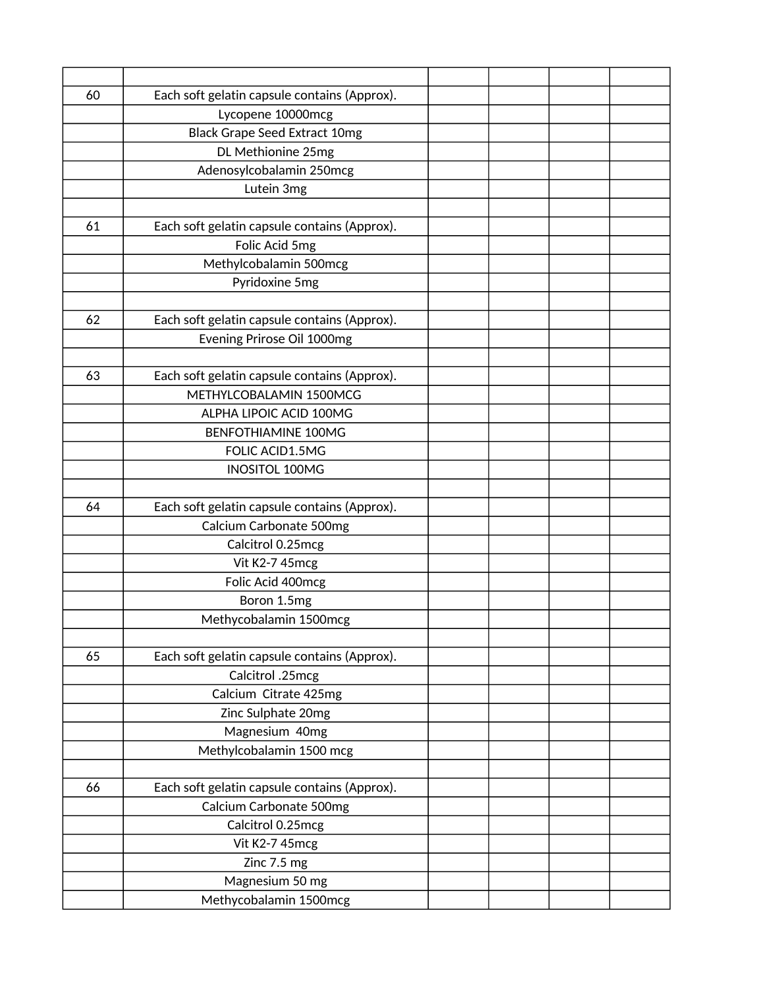| 60 | Each soft gelatin capsule contains (Approx). |  |  |
|----|----------------------------------------------|--|--|
|    | Lycopene 10000mcg                            |  |  |
|    | <b>Black Grape Seed Extract 10mg</b>         |  |  |
|    | DL Methionine 25mg                           |  |  |
|    | Adenosylcobalamin 250mcg                     |  |  |
|    | Lutein 3mg                                   |  |  |
|    |                                              |  |  |
| 61 | Each soft gelatin capsule contains (Approx). |  |  |
|    | Folic Acid 5mg                               |  |  |
|    | Methylcobalamin 500mcg                       |  |  |
|    | Pyridoxine 5mg                               |  |  |
|    |                                              |  |  |
| 62 | Each soft gelatin capsule contains (Approx). |  |  |
|    | Evening Prirose Oil 1000mg                   |  |  |
|    |                                              |  |  |
| 63 | Each soft gelatin capsule contains (Approx). |  |  |
|    | METHYLCOBALAMIN 1500MCG                      |  |  |
|    | ALPHA LIPOIC ACID 100MG                      |  |  |
|    | <b>BENFOTHIAMINE 100MG</b>                   |  |  |
|    | FOLIC ACID1.5MG                              |  |  |
|    | <b>INOSITOL 100MG</b>                        |  |  |
|    |                                              |  |  |
| 64 | Each soft gelatin capsule contains (Approx). |  |  |
|    | Calcium Carbonate 500mg                      |  |  |
|    | Calcitrol 0.25mcg                            |  |  |
|    | Vit K2-7 45mcg                               |  |  |
|    | Folic Acid 400mcg                            |  |  |
|    | Boron 1.5mg                                  |  |  |
|    | Methycobalamin 1500mcg                       |  |  |
|    |                                              |  |  |
| 65 | Each soft gelatin capsule contains (Approx). |  |  |
|    | Calcitrol .25mcg                             |  |  |
|    | Calcium Citrate 425mg                        |  |  |
|    | Zinc Sulphate 20mg                           |  |  |
|    | Magnesium 40mg                               |  |  |
|    | Methylcobalamin 1500 mcg                     |  |  |
|    |                                              |  |  |
| 66 | Each soft gelatin capsule contains (Approx). |  |  |
|    | Calcium Carbonate 500mg                      |  |  |
|    | Calcitrol 0.25mcg                            |  |  |
|    | Vit K2-7 45mcg                               |  |  |
|    | Zinc 7.5 mg                                  |  |  |
|    | Magnesium 50 mg                              |  |  |
|    | Methycobalamin 1500mcg                       |  |  |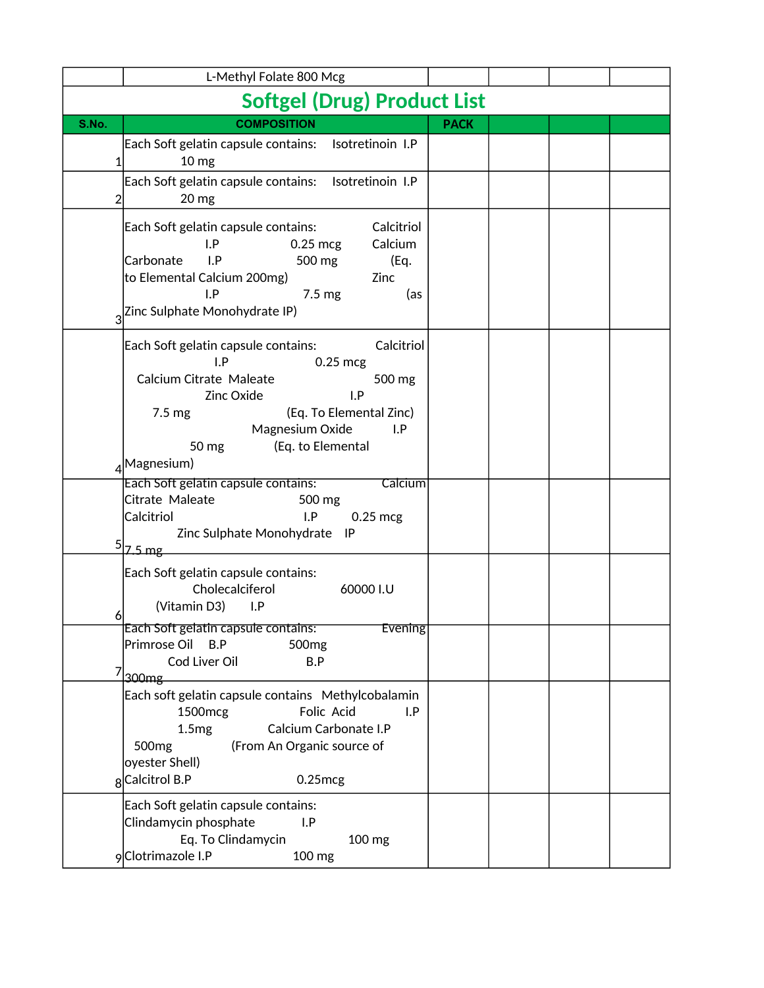|                                     | L-Methyl Folate 800 Mcg                                                                                                                                                                                                                                |             |  |  |  |  |  |  |
|-------------------------------------|--------------------------------------------------------------------------------------------------------------------------------------------------------------------------------------------------------------------------------------------------------|-------------|--|--|--|--|--|--|
| <b>Softgel (Drug) Product List</b>  |                                                                                                                                                                                                                                                        |             |  |  |  |  |  |  |
| S.No.                               | <b>COMPOSITION</b>                                                                                                                                                                                                                                     | <b>PACK</b> |  |  |  |  |  |  |
| 1                                   | Isotretinoin I.P<br>Each Soft gelatin capsule contains:<br>10 <sub>mg</sub>                                                                                                                                                                            |             |  |  |  |  |  |  |
| 2                                   | Each Soft gelatin capsule contains:<br>Isotretinoin I.P<br>20 mg                                                                                                                                                                                       |             |  |  |  |  |  |  |
| Carbonate<br>3                      | Calcitriol<br>Each Soft gelatin capsule contains:<br>I.P<br>Calcium<br>$0.25$ mcg<br>I.P<br>500 mg<br>(Eq.<br>to Elemental Calcium 200mg)<br>Zinc<br>I.P<br>$7.5 \text{ mg}$<br>(as<br>Zinc Sulphate Monohydrate IP)                                   |             |  |  |  |  |  |  |
|                                     | Calcitriol<br>Each Soft gelatin capsule contains:<br>I.P<br>$0.25$ mcg<br>Calcium Citrate Maleate<br>500 mg<br>I.P<br>Zinc Oxide<br>7.5 <sub>mg</sub><br>(Eq. To Elemental Zinc)<br>Magnesium Oxide<br>I.P<br>(Eq. to Elemental<br>50 mg<br>Magnesium) |             |  |  |  |  |  |  |
| Calcitriol<br>$5$ $z$ 5 mg          | Each Soft gelatin capsule contains:<br><b>Calcium</b><br>Citrate Maleate<br>500 mg<br>I.P<br>$0.25$ mcg<br>Zinc Sulphate Monohydrate<br><b>IP</b>                                                                                                      |             |  |  |  |  |  |  |
| 6                                   | Each Soft gelatin capsule contains:<br>Cholecalciferol<br>60000 I.U<br>(Vitamin D3)<br>I.P                                                                                                                                                             |             |  |  |  |  |  |  |
| 300 <sub>mg</sub>                   | Each Soft gelatin capsule contains:<br>Evening<br>Primrose Oil<br>B.P<br>500 <sub>mg</sub><br>Cod Liver Oil<br>B.P                                                                                                                                     |             |  |  |  |  |  |  |
| 500 <sub>mg</sub><br>8Calcitrol B.P | Each soft gelatin capsule contains Methylcobalamin<br>Folic Acid<br>1500mcg<br>I.P<br>1.5mg<br>Calcium Carbonate I.P<br>(From An Organic source of<br>oyester Shell)<br>$0.25$ mcg                                                                     |             |  |  |  |  |  |  |
|                                     | Each Soft gelatin capsule contains:<br>Clindamycin phosphate<br>I.P<br>Eq. To Clindamycin<br>100 mg<br>9 Clotrimazole I.P<br>100 mg                                                                                                                    |             |  |  |  |  |  |  |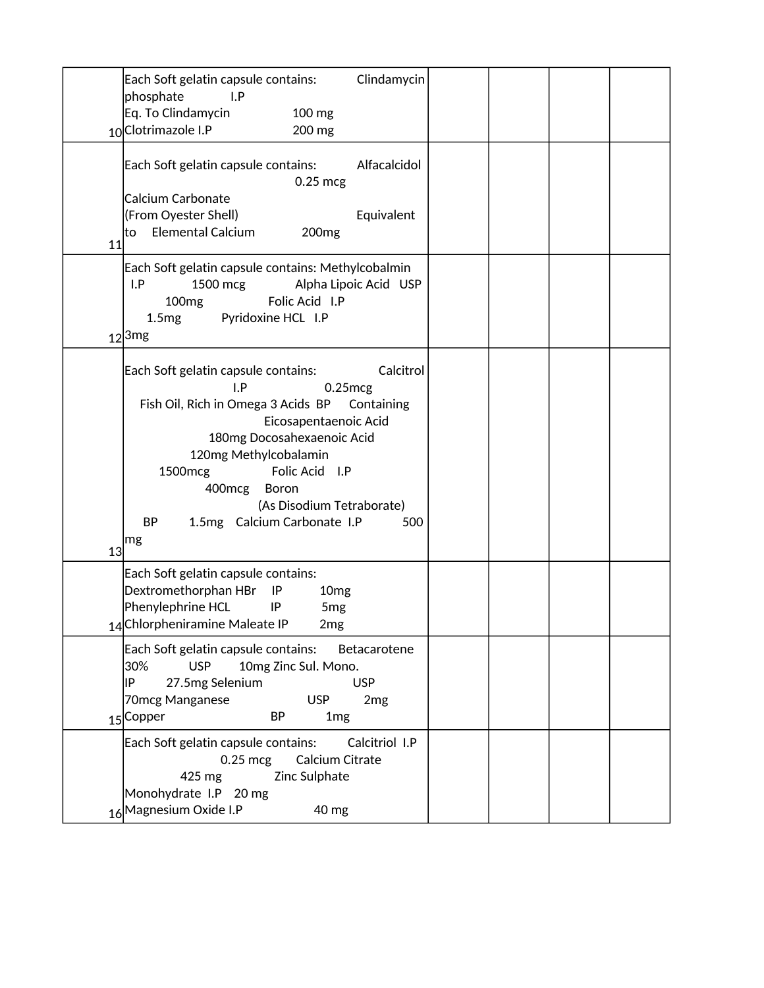| Each Soft gelatin capsule contains:<br>Clindamycin<br>phosphate<br>I.P<br>Eq. To Clindamycin<br>100 mg<br>10 Clotrimazole I.P<br>200 mg                                                                                                                                                                                                                                                   |  |
|-------------------------------------------------------------------------------------------------------------------------------------------------------------------------------------------------------------------------------------------------------------------------------------------------------------------------------------------------------------------------------------------|--|
| Each Soft gelatin capsule contains:<br>Alfacalcidol<br>$0.25$ mcg<br>Calcium Carbonate<br>(From Oyester Shell)<br>Equivalent<br><b>Elemental Calcium</b><br>200 <sub>mg</sub><br>lto<br>11<br>Each Soft gelatin capsule contains: Methylcobalmin<br>I.P<br>1500 mcg<br>Alpha Lipoic Acid USP<br>Folic Acid I.P<br>100 <sub>mg</sub><br>Pyridoxine HCL I.P<br>1.5mg<br>$12$ <sup>3mg</sup> |  |
| Calcitrol<br>Each Soft gelatin capsule contains:<br>I.P<br>$0.25$ mcg<br>Fish Oil, Rich in Omega 3 Acids BP<br>Containing<br>Eicosapentaenoic Acid<br>180mg Docosahexaenoic Acid<br>120mg Methylcobalamin<br>Folic Acid I.P<br>1500mcg<br>400mcg<br>Boron<br>(As Disodium Tetraborate)<br>1.5mg Calcium Carbonate I.P<br>BP<br>500<br> mg<br>13 <sub>l</sub>                              |  |
| Each Soft gelatin capsule contains:<br>Dextromethorphan HBr<br>IP<br>10 <sub>mg</sub><br>Phenylephrine HCL<br>IP<br>5 <sub>mg</sub><br>14 Chlorpheniramine Maleate IP<br>2 <sub>mg</sub>                                                                                                                                                                                                  |  |
| Each Soft gelatin capsule contains: Betacarotene<br>30%<br><b>USP</b><br>10mg Zinc Sul. Mono.<br> IP<br>27.5mg Selenium<br><b>USP</b><br>70mcg Manganese<br><b>USP</b><br>2mg<br>15 Copper<br>BP<br>1 <sub>mg</sub>                                                                                                                                                                       |  |
| Each Soft gelatin capsule contains:<br>Calcitriol I.P<br>$0.25$ mcg<br>Calcium Citrate<br>Zinc Sulphate<br>425 mg<br>Monohydrate I.P 20 mg<br>16 Magnesium Oxide I.P<br>40 mg                                                                                                                                                                                                             |  |